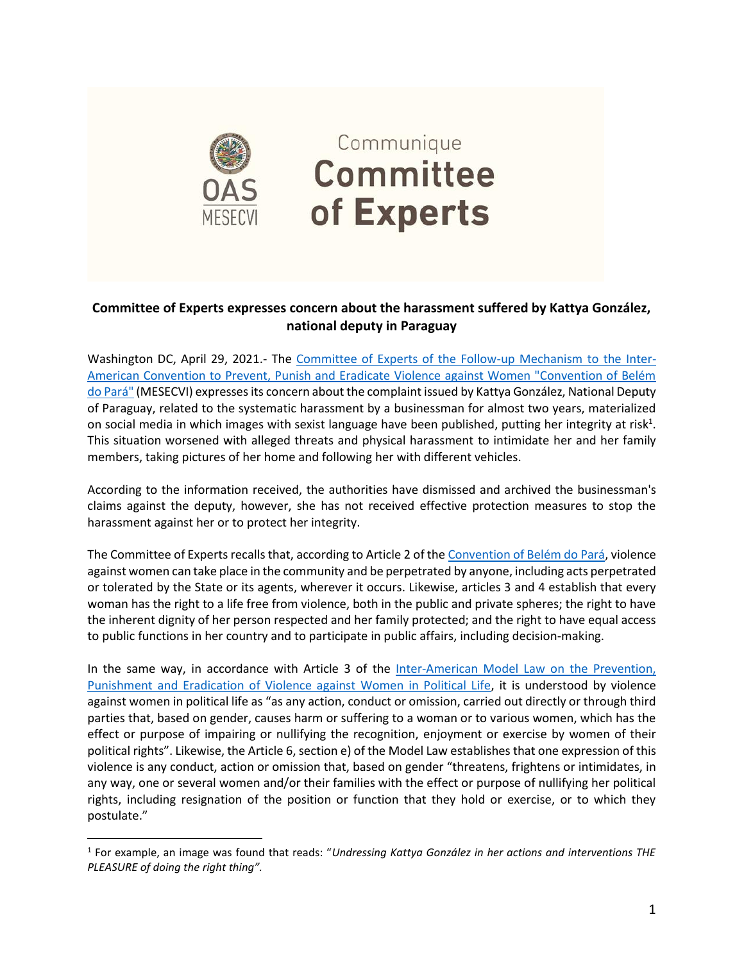

## **Committee of Experts expresses concern about the harassment suffered by Kattya González, national deputy in Paraguay**

Washington DC, April 29, 2021.- The [Committee of Experts of the Follow-up Mechanism to the Inter-](https://www.oas.org/en/mesecvi/Experts.asp)[American Convention to Prevent, Punish and Eradicate Violence against Women "Convention of Belém](https://www.oas.org/en/mesecvi/Experts.asp)  [do Pará"](https://www.oas.org/en/mesecvi/Experts.asp) (MESECVI) expresses its concern about the complaint issued by Kattya González, National Deputy of Paraguay, related to the systematic harassment by a businessman for almost two years, materialized on social media in which images with sexist language have been published, putting her integrity at risk<sup>1</sup>. This situation worsened with alleged threats and physical harassment to intimidate her and her family members, taking pictures of her home and following her with different vehicles.

According to the information received, the authorities have dismissed and archived the businessman's claims against the deputy, however, she has not received effective protection measures to stop the harassment against her or to protect her integrity.

The Committee of Experts recalls that, according to Article 2 of th[e Convention of Belém do Pará,](http://www.oas.org/en/mesecvi/docs/BelemDoPara-ENGLISH.pdf) violence against women can take place in the community and be perpetrated by anyone, including acts perpetrated or tolerated by the State or its agents, wherever it occurs. Likewise, articles 3 and 4 establish that every woman has the right to a life free from violence, both in the public and private spheres; the right to have the inherent dignity of her person respected and her family protected; and the right to have equal access to public functions in her country and to participate in public affairs, including decision-making.

In the same way, in accordance with Article 3 of the [Inter-American Model Law on the Prevention,](https://www.oas.org/en/cim/docs/ViolenciaPolitica-LeyModelo-ES.pdf)  [Punishment and Eradication of Violence against Women in Political Life,](https://www.oas.org/en/cim/docs/ViolenciaPolitica-LeyModelo-ES.pdf) it is understood by violence against women in political life as "as any action, conduct or omission, carried out directly or through third parties that, based on gender, causes harm or suffering to a woman or to various women, which has the effect or purpose of impairing or nullifying the recognition, enjoyment or exercise by women of their political rights". Likewise, the Article 6, section e) of the Model Law establishes that one expression of this violence is any conduct, action or omission that, based on gender "threatens, frightens or intimidates, in any way, one or several women and/or their families with the effect or purpose of nullifying her political rights, including resignation of the position or function that they hold or exercise, or to which they postulate."

<sup>1</sup> For example, an image was found that reads: "*Undressing Kattya González in her actions and interventions THE PLEASURE of doing the right thing".*